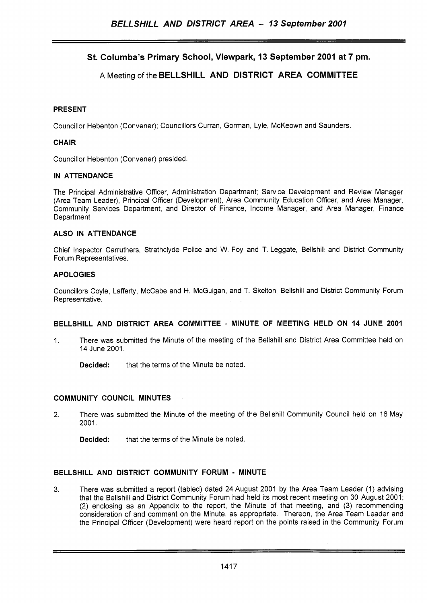# **St. Columba's Primary School, Viewpark, 13 September 2001 at 7 pm.**

# A Meeting of the **BELLSHILL AND DISTRICT AREA COMMITTEE**

### **PRESENT**

Councillor Hebenton (Convener); Councillors Curran, Gorman, Lyle, McKeown and Saunders

### **CHAIR**

Councillor Hebenton (Convener) presided.

#### **IN ATTENDANCE**

The Principal Administrative Officer, Administration Department; Service Development and Review Manager (Area Team Leader), Principal Officer (Development), Area Community Education Officer, and Area Manager, Community Services Department, and Director of Finance, Income Manager, and Area Manager, Finance Department.

#### **ALSO IN ATTENDANCE**

Chief Inspector Carruthers, Strathclyde Police and W. Foy and T. Leggate, Bellshill and District Community Forum Representatives.

#### **A POLOGIES**

Councillors Coyle, Lafferty, McCabe and H. McGuigan, and T. Skelton, Bellshill and District Community Forum Representative.

#### **BELLSHILL AND DISTRICT AREA COMMITTEE** - **MINUTE OF MEETING HELD ON 14 JUNE 2001**

1. There was submitted the Minute of the meeting of the Bellshill and District Area Committee held on 14 June 2001.

**Decided:** that the terms of the Minute be noted.

#### **COMMUNITY COUNCIL MINUTES**

2. There was submitted the Minute of the meeting of the Bellshill Community Council held on 16 May 2001.

**Decided:** that the terms of the Minute be noted.

#### **BELLSHILL AND DISTRICT COMMUNITY FORUM** - **MINUTE**

**3.** There was submitted a report (tabled) dated 24 August 2001 by the Area Team Leader (1) advising that the Bellshill and District Community Forum had held its most recent meeting on 30 August 2001; (2) enclosing as an Appendix to the report, the Minute of that meeting, and (3) recommending consideration of and comment on the Minute, as appropriate. Thereon, the Area Team Leader and the Principal Officer (Development) were heard report on the points raised in the Community Forum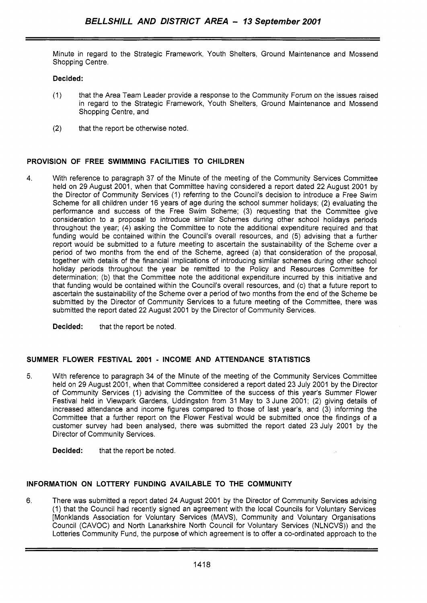Minute in regard to the Strategic Framework, Youth Shelters, Ground Maintenance and Mossend Shopping Centre.

### **Decided:**

- (1) that the Area Team Leader provide a response to the Community Forum on the issues raised in regard to the Strategic Framework, Youth Shelters, Ground Maintenance and Mossend Shopping Centre, and
- (2) that the report be otherwise noted.

### **PROVISION OF FREE SWIMMING FACILITIES TO CHILDREN**

4. With reference to paragraph 37 of the Minute of the meeting of the Community Services Committee held on 29 August 2001, when that Committee having considered a report dated 22 August 2001 by the Director of Community Services (1) referring to the Council's decision to introduce a Free Swim Scheme for all children under 16 years of age during the school summer holidays; (2) evaluating the performance and success of the Free Swim Scheme; (3) requesting that the Committee give consideration to a proposal to introduce similar Schemes during other school holidays periods throughout the year; (4) asking the Committee to note the additional expenditure required and that funding would be contained within the Council's overall resources, and (5) advising that a further report would be submitted to a future meeting to ascertain the sustainability of the Scheme over a period of *two* months from the end of the Scheme, agreed (a) that consideration of the proposal, together with details of the financial implications of introducing similar schemes during other school holiday periods throughout the year be remitted to the Policy and Resources Committee for determination; (b) that the Committee note the additional expenditure incurred by this initiative and that funding would be contained within the Council's overall resources, and (c) that a future report to ascertain the sustainability of the Scheme over a period of *two* months from the end of the Scheme be submitted by the Director of Community Services to a future meeting of the Committee, there was submitted the report dated 22 August 2001 by the Director of Community Services.

**Decided:** that the report be noted.

#### **SUMMER FLOWER FESTIVAL 2001** - **INCOME AND ATTENDANCE STATISTICS**

5. With reference to paragraph 34 of the Minute of the meeting of the Community Services Committee held on 29 August 2001, when that Committee considered a report dated 23 July 2001 by the Director of Community Services (1) advising the Committee of the success of this year's Summer Flower Festival held in Viewpark Gardens, Uddingston from 31 May to 3 June 2001; (2) giving details of increased attendance and income figures compared to those of last year's, and (3) informing the Committee that a further report on the Flower Festival would be submitted once the findings of a customer survey had been analysed, there was submitted the report dated 23 July 2001 by the Director of Community Services.

**Decided:** that the report be noted.

### **INFORMATION ON LOTTERY FUNDING AVAILABLE TO THE COMMUNITY**

6. There was submitted a report dated 24 August 2001 by the Director of Community Services advising (1) that the Council had recently signed an agreement with the local Councils for Voluntary Services [Monklands Association for Voluntary Services (MAVS), Community and Voluntary Organisations Council (CAVOC) and North Lanarkshire North Council for Voluntary Services (NLNCVS)) and the Lotteries Community Fund, the purpose of which agreement is to offer a co-ordinated approach to the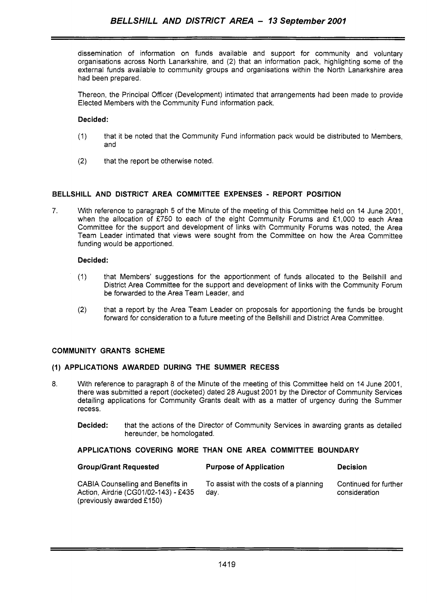dissemination of information on funds available and support for community and voluntary organisations across North Lanarkshire, and (2) that an information pack, highlighting some of the external funds available to community groups and organisations within the North Lanarkshire area had been prepared.

Thereon, the Principal Officer (Development) intimated that arrangements had been made to provide Elected Members with the Community Fund information pack.

### **Decided:**

- (1) that it be noted that the Community Fund information pack would be distributed to Members, and
- (2) that the report be otherwise noted.

### **BELLSHILL AND DISTRICT AREA COMMITTEE EXPENSES** - **REPORT POSITION**

*7.* With reference to paragraph 5 of the Minute of the meeting of this Committee held on 14 June 2001, when the allocation of £750 to each of the eight Community Forums and £1,000 to each Area Committee for the support and development of links with Community Forums was noted, the Area Team Leader intimated that views were sought from the Committee on how the Area Committee funding would be apportioned.

### **Decided:**

- (1) that Members' suggestions for the apportionment of funds allocated to the Bellshill and District Area Committee for the support and development of links with the Community Forum be forwarded to the Area Team Leader, and
- **(2)** that a report by the Area Team Leader on proposals for apportioning the funds be brought forward for consideration to a future meeting of the Bellshill and District Area Committee.

#### **COMMUNITY GRANTS SCHEME**

### **(1) APPLICATIONS AWARDED DURING THE SUMMER RECESS**

- 8. With reference to paragraph 8 of the Minute of the meeting of this Committee held on 14 June 2001, there was submitted a report (docketed) dated 28 August 2001 by the Director of Community Services detailing applications for Community Grants dealt with as a matter of urgency during the Summer recess.
	- **Decided:** that the actions of the Director of Community Services in awarding grants as detailed hereunder, be homologated.

### **APPLICATIONS COVERING MORE THAN ONE AREA COMMITTEE BOUNDARY**

| <b>Group/Grant Requested</b>                                                                                  | <b>Purpose of Application</b>                  | <b>Decision</b>                        |
|---------------------------------------------------------------------------------------------------------------|------------------------------------------------|----------------------------------------|
| <b>CABIA Counselling and Benefits in</b><br>Action, Airdrie (CG01/02-143) - £435<br>(previously awarded £150) | To assist with the costs of a planning<br>dav. | Continued for further<br>consideration |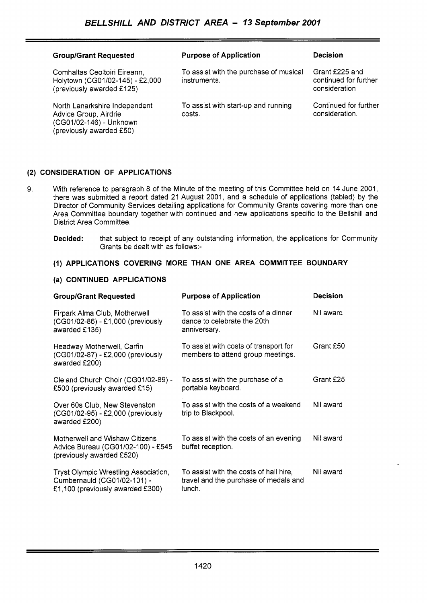| <b>Group/Grant Requested</b>                                                                                  | <b>Purpose of Application</b>                          | <b>Decision</b>                                          |
|---------------------------------------------------------------------------------------------------------------|--------------------------------------------------------|----------------------------------------------------------|
| Comhaltas Ceoltoiri Eireann,<br>Holytown (CG01/02-145) - £2,000<br>(previously awarded £125)                  | To assist with the purchase of musical<br>instruments. | Grant £225 and<br>continued for further<br>consideration |
| North Lanarkshire Independent<br>Advice Group, Airdrie<br>(CG01/02-146) - Unknown<br>(previously awarded £50) | To assist with start-up and running<br>costs.          | Continued for further<br>consideration.                  |

## **(2) CONSIDERATION OF APPLICATIONS**

- 9. With reference to paragraph 8 of the Minute of the meeting of this Committee held on 14 June 2001, there was submitted a report dated 21 August 2001, and a schedule of applications (tabled) by the Director of Community Services detailing applications for Community Grants covering more than one Area Committee boundary together with continued and new applications specific to the Bellshill and District Area Committee.
	- **Decided:** that subject to receipt of any outstanding information, the applications for Community Grants be dealt with as follows:-

### **(1) APPLICATIONS COVERING MORE THAN ONE AREA COMMITTEE BOUNDARY**

#### **(a) CONTINUED APPLICATIONS**

| <b>Group/Grant Requested</b>                                                                            | <b>Purpose of Application</b>                                                             | Decision  |
|---------------------------------------------------------------------------------------------------------|-------------------------------------------------------------------------------------------|-----------|
| Firpark Alma Club, Motherwell<br>(CG01/02-86) - £1,000 (previously<br>awarded £135)                     | To assist with the costs of a dinner<br>dance to celebrate the 20th<br>anniversary.       | Nil award |
| Headway Motherwell, Carfin<br>(CG01/02-87) - £2,000 (previously<br>awarded £200)                        | To assist with costs of transport for<br>members to attend group meetings.                | Grant £50 |
| Cleland Church Choir (CG01/02-89) -<br>£500 (previously awarded £15)                                    | To assist with the purchase of a<br>portable keyboard.                                    | Grant £25 |
| Over 60s Club, New Stevenston<br>(CG01/02-95) - £2,000 (previously<br>awarded £200)                     | To assist with the costs of a weekend<br>trip to Blackpool.                               | Nil award |
| Motherwell and Wishaw Citizens<br>Advice Bureau (CG01/02-100) - £545<br>(previously awarded £520)       | To assist with the costs of an evening<br>buffet reception.                               | Nil award |
| Tryst Olympic Wrestling Association,<br>Cumbernauld (CG01/02-101) -<br>£1,100 (previously awarded £300) | To assist with the costs of hall hire,<br>travel and the purchase of medals and<br>lunch. | Nil award |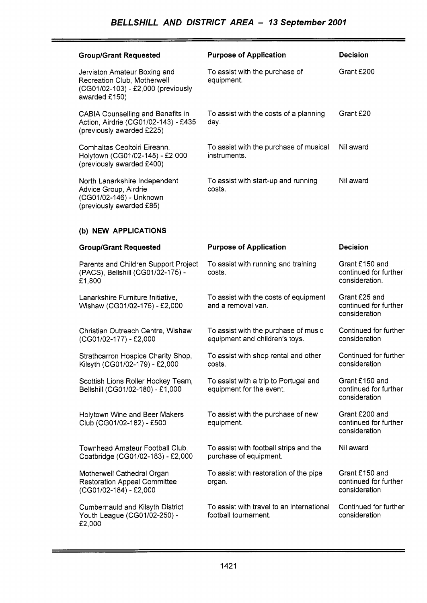| <b>Group/Grant Requested</b>                                                                                       | <b>Purpose of Application</b>                                          | <b>Decision</b>                                           |
|--------------------------------------------------------------------------------------------------------------------|------------------------------------------------------------------------|-----------------------------------------------------------|
| Jerviston Amateur Boxing and<br>Recreation Club, Motherwell<br>(CG01/02-103) - £2,000 (previously<br>awarded £150) | To assist with the purchase of<br>equipment.                           | Grant £200                                                |
| <b>CABIA Counselling and Benefits in</b><br>Action, Airdrie (CG01/02-143) - £435<br>(previously awarded £225)      | To assist with the costs of a planning<br>day.                         | Grant £20                                                 |
| Comhaltas Ceoltoiri Eireann,<br>Holytown (CG01/02-145) - £2,000<br>(previously awarded £400)                       | To assist with the purchase of musical<br>instruments.                 | Nil award                                                 |
| North Lanarkshire Independent<br>Advice Group, Airdrie<br>(CG01/02-146) - Unknown<br>(previously awarded £85)      | To assist with start-up and running<br>costs.                          | Nil award                                                 |
| (b) NEW APPLICATIONS                                                                                               |                                                                        |                                                           |
| <b>Group/Grant Requested</b>                                                                                       | <b>Purpose of Application</b>                                          | <b>Decision</b>                                           |
| Parents and Children Support Project<br>(PACS), Bellshill (CG01/02-175) -<br>£1,800                                | To assist with running and training<br>costs.                          | Grant £150 and<br>continued for further<br>consideration. |
| Lanarkshire Furniture Initiative,<br>Wishaw (CG01/02-176) - £2,000                                                 | To assist with the costs of equipment<br>and a removal van.            | Grant £25 and<br>continued for further<br>consideration   |
| Christian Outreach Centre, Wishaw<br>(CG01/02-177) - £2,000                                                        | To assist with the purchase of music<br>equipment and children's toys. | Continued for further<br>consideration                    |
| Strathcarron Hospice Charity Shop,<br>Kilsyth (CG01/02-179) - £2,000                                               | To assist with shop rental and other<br>costs.                         | Continued for further<br>consideration                    |
| Scottish Lions Roller Hockey Team,<br>Bellshill (CG01/02-180) - £1,000                                             | To assist with a trip to Portugal and<br>equipment for the event.      | Grant £150 and<br>continued for further<br>consideration  |
| Holytown Wine and Beer Makers<br>Club (CG01/02-182) - £500                                                         | To assist with the purchase of new<br>equipment.                       | Grant £200 and<br>continued for further<br>consideration  |
| Townhead Amateur Football Club,<br>Coatbridge (CG01/02-183) - £2,000                                               | To assist with football strips and the<br>purchase of equipment.       | Nil award                                                 |
| Motherwell Cathedral Organ<br><b>Restoration Appeal Committee</b><br>(CG01/02-184) - £2,000                        | To assist with restoration of the pipe<br>organ.                       | Grant £150 and<br>continued for further<br>consideration  |
| Cumbernauld and Kilsyth District<br>Youth League (CG01/02-250) -<br>£2,000                                         | To assist with travel to an international<br>football tournament.      | Continued for further<br>consideration                    |

ta da kasance a serie de la construcción de la construcción de la construcción de la construcción de la construcción<br>A la construcción de la construcción de la construcción de la construcción de la construcción de la const

Ξ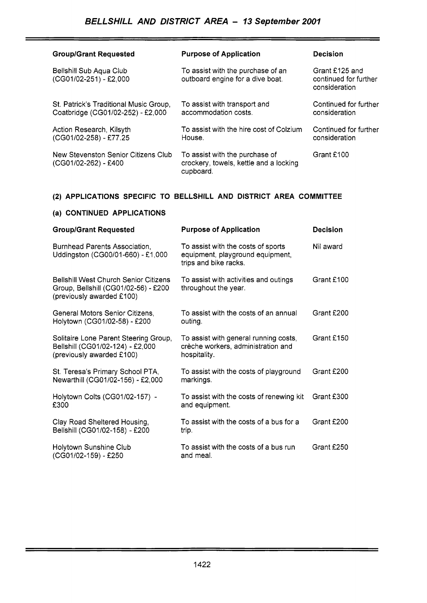| <b>Group/Grant Requested</b>                                                | <b>Purpose of Application</b>                                                         | <b>Decision</b>                                          |
|-----------------------------------------------------------------------------|---------------------------------------------------------------------------------------|----------------------------------------------------------|
| Bellshill Sub Aqua Club<br>(CG01/02-251) - £2,000                           | To assist with the purchase of an<br>outboard engine for a dive boat.                 | Grant £125 and<br>continued for further<br>consideration |
| St. Patrick's Traditional Music Group,<br>Coatbridge (CG01/02-252) - £2,000 | To assist with transport and<br>accommodation costs.                                  | Continued for further<br>consideration                   |
| Action Research, Kilsyth<br>(CG01/02-258) - £77.25                          | To assist with the hire cost of Colzium<br>House.                                     | Continued for further<br>consideration                   |
| New Stevenston Senior Citizens Club<br>(CG01/02-262) - £400                 | To assist with the purchase of<br>crockery, towels, kettle and a locking<br>cupboard. | Grant £100                                               |

## **(2) APPLICATIONS SPECIFIC TO BELLSHILL AND DISTRICT AREA COMMITTEE**

# **(a) CONTINUED APPLICATIONS**

| <b>Group/Grant Requested</b>                                                                                      | <b>Purpose of Application</b>                                                                   | <b>Decision</b> |
|-------------------------------------------------------------------------------------------------------------------|-------------------------------------------------------------------------------------------------|-----------------|
| Burnhead Parents Association.<br>Uddingston (CG00/01-660) - £1,000                                                | To assist with the costs of sports<br>equipment, playground equipment,<br>trips and bike racks. | Nil award       |
| <b>Bellshill West Church Senior Citizens</b><br>Group, Bellshill (CG01/02-56) - £200<br>(previously awarded £100) | To assist with activities and outings<br>throughout the year.                                   | Grant £100      |
| General Motors Senior Citizens,<br>Holytown (CG01/02-58) - £200                                                   | To assist with the costs of an annual<br>outing.                                                | Grant £200      |
| Solitaire Lone Parent Steering Group,<br>Bellshill (CG01/02-124) - £2,000<br>(previously awarded £100)            | To assist with general running costs,<br>crèche workers, administration and<br>hospitality.     | Grant £150      |
| St. Teresa's Primary School PTA,<br>Newarthill (CG01/02-156) - £2,000                                             | To assist with the costs of playground<br>markings.                                             | Grant £200      |
| Holytown Colts (CG01/02-157) -<br>£300                                                                            | To assist with the costs of renewing kit<br>and equipment.                                      | Grant £300      |
| Clay Road Sheltered Housing,<br>Bellshill (CG01/02-158) - £200                                                    | To assist with the costs of a bus for a<br>trip.                                                | Grant £200      |
| Holytown Sunshine Club<br>(CG01/02-159) - £250                                                                    | To assist with the costs of a bus run<br>and meal.                                              | Grant £250      |